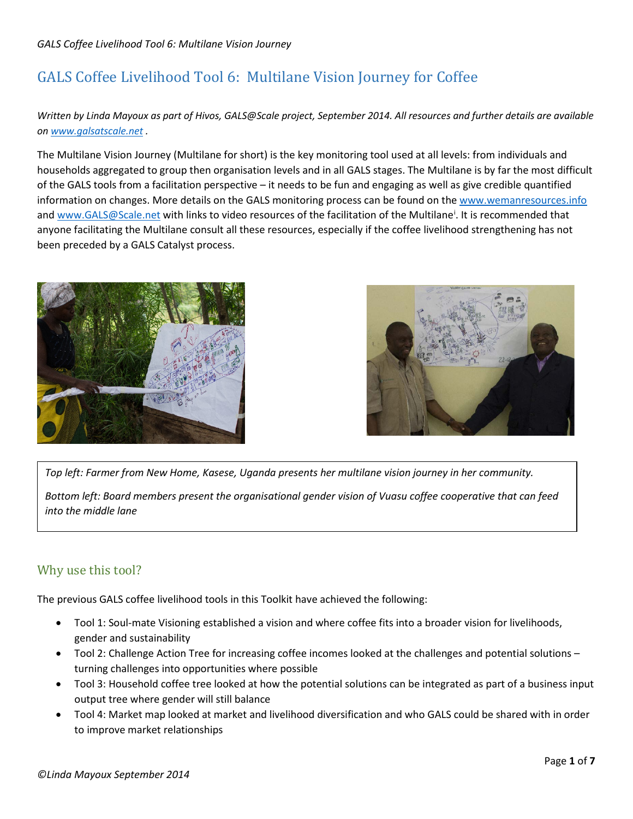*Written by Linda Mayoux as part of Hivos, GALS@Scale project, September 2014. All resources and further details are available on [www.galsatscale.net](http://www.galsatscale.net/) .*

The Multilane Vision Journey (Multilane for short) is the key monitoring tool used at all levels: from individuals and households aggregated to group then organisation levels and in all GALS stages. The Multilane is by far the most difficult of the GALS tools from a facilitation perspective – it needs to be fun and engaging as well as give credible quantified information on changes. More details on the GALS monitoring process can be found on th[e www.wemanresources.info](http://www.wemanresources.info/) and [www.GALS@Scale.net](http://www.GALS@Scale.net) w[i](#page-6-0)th links to video resources of the facilitation of the Multilane<sup>i</sup>. It is recommended that anyone facilitating the Multilane consult all these resources, especially if the coffee livelihood strengthening has not been preceded by a GALS Catalyst process.





*Top left: Farmer from New Home, Kasese, Uganda presents her multilane vision journey in her community.*

*Bottom left: Board members present the organisational gender vision of Vuasu coffee cooperative that can feed into the middle lane*

# Why use this tool?

The previous GALS coffee livelihood tools in this Toolkit have achieved the following:

- Tool 1: Soul-mate Visioning established a vision and where coffee fits into a broader vision for livelihoods, gender and sustainability
- Tool 2: Challenge Action Tree for increasing coffee incomes looked at the challenges and potential solutions turning challenges into opportunities where possible
- Tool 3: Household coffee tree looked at how the potential solutions can be integrated as part of a business input output tree where gender will still balance
- Tool 4: Market map looked at market and livelihood diversification and who GALS could be shared with in order to improve market relationships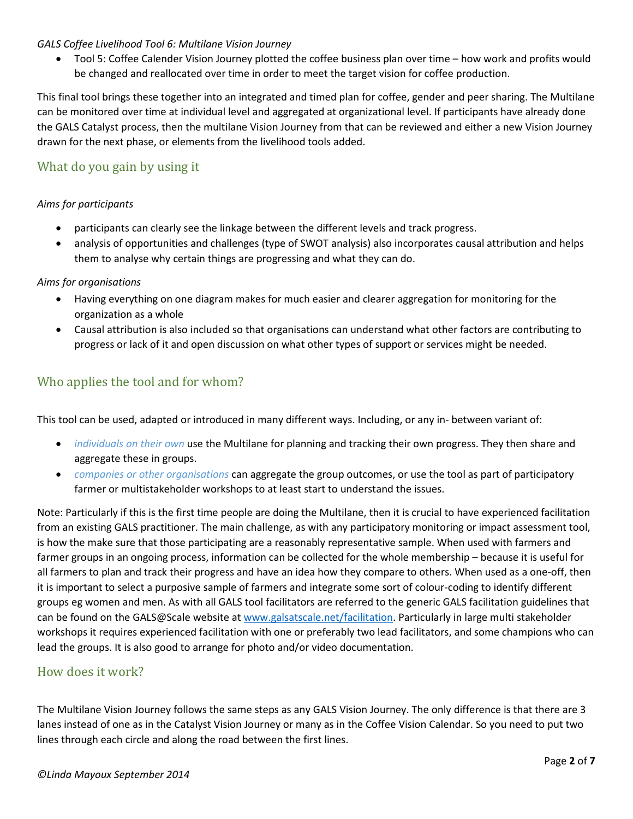• Tool 5: Coffee Calender Vision Journey plotted the coffee business plan over time – how work and profits would be changed and reallocated over time in order to meet the target vision for coffee production.

This final tool brings these together into an integrated and timed plan for coffee, gender and peer sharing. The Multilane can be monitored over time at individual level and aggregated at organizational level. If participants have already done the GALS Catalyst process, then the multilane Vision Journey from that can be reviewed and either a new Vision Journey drawn for the next phase, or elements from the livelihood tools added.

# What do you gain by using it

### *Aims for participants*

- participants can clearly see the linkage between the different levels and track progress.
- analysis of opportunities and challenges (type of SWOT analysis) also incorporates causal attribution and helps them to analyse why certain things are progressing and what they can do.

### *Aims for organisations*

- Having everything on one diagram makes for much easier and clearer aggregation for monitoring for the organization as a whole
- Causal attribution is also included so that organisations can understand what other factors are contributing to progress or lack of it and open discussion on what other types of support or services might be needed.

# Who applies the tool and for whom?

This tool can be used, adapted or introduced in many different ways. Including, or any in- between variant of:

- *individuals on their own* use the Multilane for planning and tracking their own progress. They then share and aggregate these in groups.
- *companies or other organisations* can aggregate the group outcomes, or use the tool as part of participatory farmer or multistakeholder workshops to at least start to understand the issues.

Note: Particularly if this is the first time people are doing the Multilane, then it is crucial to have experienced facilitation from an existing GALS practitioner. The main challenge, as with any participatory monitoring or impact assessment tool, is how the make sure that those participating are a reasonably representative sample. When used with farmers and farmer groups in an ongoing process, information can be collected for the whole membership – because it is useful for all farmers to plan and track their progress and have an idea how they compare to others. When used as a one-off, then it is important to select a purposive sample of farmers and integrate some sort of colour-coding to identify different groups eg women and men. As with all GALS tool facilitators are referred to the generic GALS facilitation guidelines that can be found on the GALS@Scale website a[t www.galsatscale.net/facilitation.](http://www.galsatscale.net/facilitation) Particularly in large multi stakeholder workshops it requires experienced facilitation with one or preferably two lead facilitators, and some champions who can lead the groups. It is also good to arrange for photo and/or video documentation.

### How does it work?

The Multilane Vision Journey follows the same steps as any GALS Vision Journey. The only difference is that there are 3 lanes instead of one as in the Catalyst Vision Journey or many as in the Coffee Vision Calendar. So you need to put two lines through each circle and along the road between the first lines.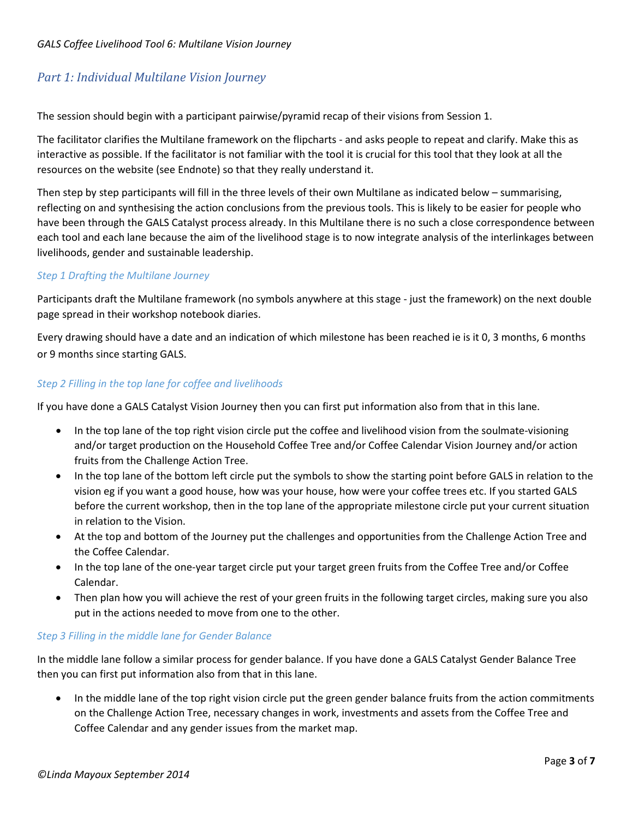# *Part 1: Individual Multilane Vision Journey*

The session should begin with a participant pairwise/pyramid recap of their visions from Session 1.

The facilitator clarifies the Multilane framework on the flipcharts - and asks people to repeat and clarify. Make this as interactive as possible. If the facilitator is not familiar with the tool it is crucial for this tool that they look at all the resources on the website (see Endnote) so that they really understand it.

Then step by step participants will fill in the three levels of their own Multilane as indicated below – summarising, reflecting on and synthesising the action conclusions from the previous tools. This is likely to be easier for people who have been through the GALS Catalyst process already. In this Multilane there is no such a close correspondence between each tool and each lane because the aim of the livelihood stage is to now integrate analysis of the interlinkages between livelihoods, gender and sustainable leadership.

### *Step 1 Drafting the Multilane Journey*

Participants draft the Multilane framework (no symbols anywhere at this stage - just the framework) on the next double page spread in their workshop notebook diaries.

Every drawing should have a date and an indication of which milestone has been reached ie is it 0, 3 months, 6 months or 9 months since starting GALS.

### *Step 2 Filling in the top lane for coffee and livelihoods*

If you have done a GALS Catalyst Vision Journey then you can first put information also from that in this lane.

- In the top lane of the top right vision circle put the coffee and livelihood vision from the soulmate-visioning and/or target production on the Household Coffee Tree and/or Coffee Calendar Vision Journey and/or action fruits from the Challenge Action Tree.
- In the top lane of the bottom left circle put the symbols to show the starting point before GALS in relation to the vision eg if you want a good house, how was your house, how were your coffee trees etc. If you started GALS before the current workshop, then in the top lane of the appropriate milestone circle put your current situation in relation to the Vision.
- At the top and bottom of the Journey put the challenges and opportunities from the Challenge Action Tree and the Coffee Calendar.
- In the top lane of the one-year target circle put your target green fruits from the Coffee Tree and/or Coffee Calendar.
- Then plan how you will achieve the rest of your green fruits in the following target circles, making sure you also put in the actions needed to move from one to the other.

### *Step 3 Filling in the middle lane for Gender Balance*

In the middle lane follow a similar process for gender balance. If you have done a GALS Catalyst Gender Balance Tree then you can first put information also from that in this lane.

• In the middle lane of the top right vision circle put the green gender balance fruits from the action commitments on the Challenge Action Tree, necessary changes in work, investments and assets from the Coffee Tree and Coffee Calendar and any gender issues from the market map.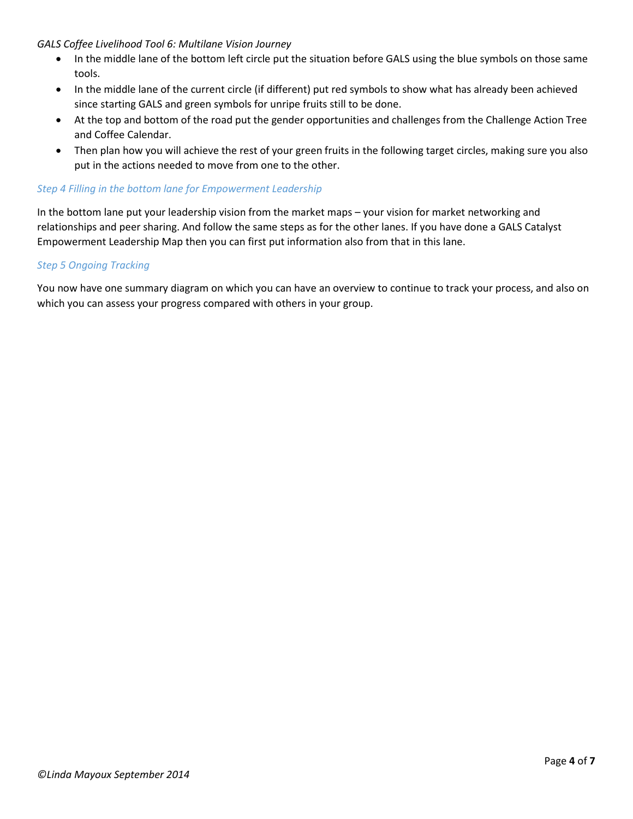- In the middle lane of the bottom left circle put the situation before GALS using the blue symbols on those same tools.
- In the middle lane of the current circle (if different) put red symbols to show what has already been achieved since starting GALS and green symbols for unripe fruits still to be done.
- At the top and bottom of the road put the gender opportunities and challenges from the Challenge Action Tree and Coffee Calendar.
- Then plan how you will achieve the rest of your green fruits in the following target circles, making sure you also put in the actions needed to move from one to the other.

#### *Step 4 Filling in the bottom lane for Empowerment Leadership*

In the bottom lane put your leadership vision from the market maps – your vision for market networking and relationships and peer sharing. And follow the same steps as for the other lanes. If you have done a GALS Catalyst Empowerment Leadership Map then you can first put information also from that in this lane.

#### *Step 5 Ongoing Tracking*

You now have one summary diagram on which you can have an overview to continue to track your process, and also on which you can assess your progress compared with others in your group.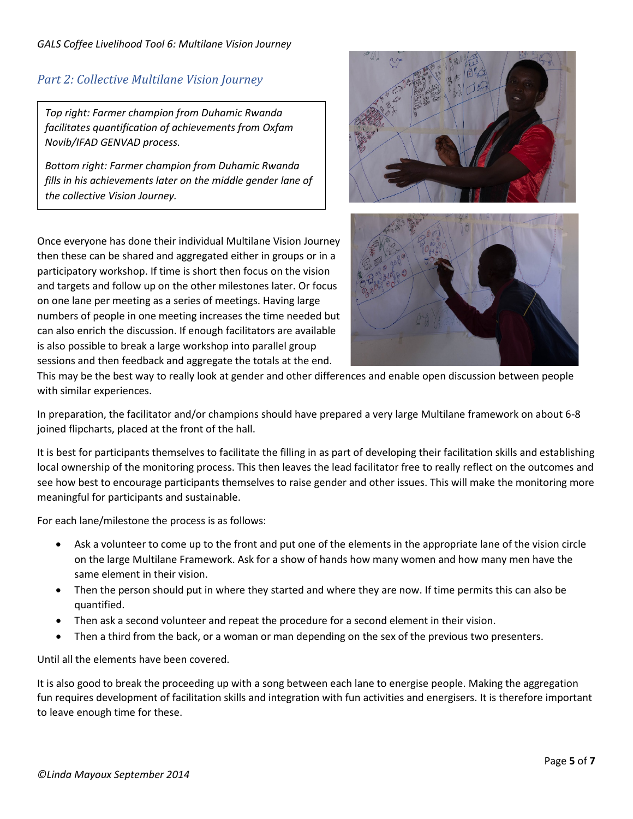### *Part 2: Collective Multilane Vision Journey*

*Top right: Farmer champion from Duhamic Rwanda facilitates quantification of achievements from Oxfam Novib/IFAD GENVAD process.*

*Bottom right: Farmer champion from Duhamic Rwanda fills in his achievements later on the middle gender lane of the collective Vision Journey.* 

Once everyone has done their individual Multilane Vision Journey then these can be shared and aggregated either in groups or in a participatory workshop. If time is short then focus on the vision and targets and follow up on the other milestones later. Or focus on one lane per meeting as a series of meetings. Having large numbers of people in one meeting increases the time needed but can also enrich the discussion. If enough facilitators are available is also possible to break a large workshop into parallel group sessions and then feedback and aggregate the totals at the end.





This may be the best way to really look at gender and other differences and enable open discussion between people with similar experiences.

In preparation, the facilitator and/or champions should have prepared a very large Multilane framework on about 6-8 joined flipcharts, placed at the front of the hall.

It is best for participants themselves to facilitate the filling in as part of developing their facilitation skills and establishing local ownership of the monitoring process. This then leaves the lead facilitator free to really reflect on the outcomes and see how best to encourage participants themselves to raise gender and other issues. This will make the monitoring more meaningful for participants and sustainable.

For each lane/milestone the process is as follows:

- Ask a volunteer to come up to the front and put one of the elements in the appropriate lane of the vision circle on the large Multilane Framework. Ask for a show of hands how many women and how many men have the same element in their vision.
- Then the person should put in where they started and where they are now. If time permits this can also be quantified.
- Then ask a second volunteer and repeat the procedure for a second element in their vision.
- Then a third from the back, or a woman or man depending on the sex of the previous two presenters.

Until all the elements have been covered.

It is also good to break the proceeding up with a song between each lane to energise people. Making the aggregation fun requires development of facilitation skills and integration with fun activities and energisers. It is therefore important to leave enough time for these.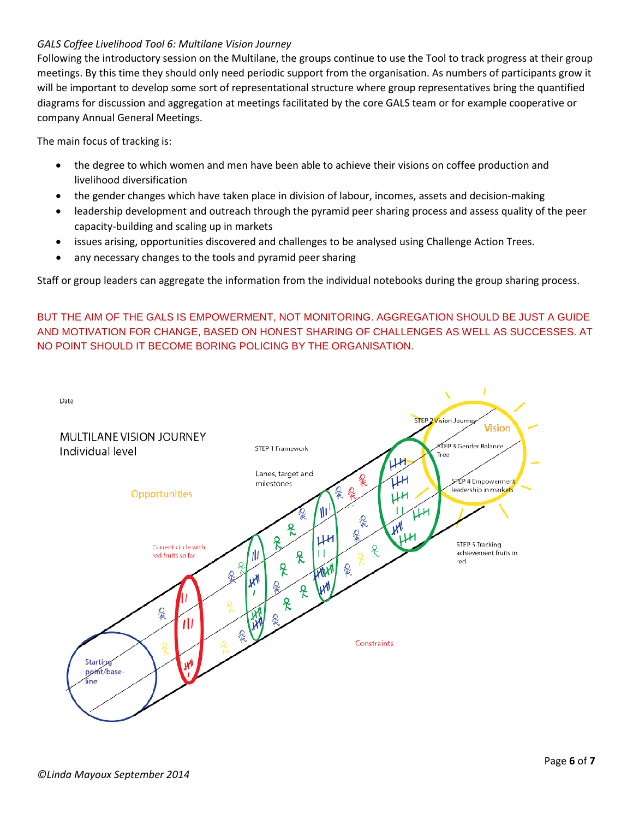Following the introductory session on the Multilane, the groups continue to use the Tool to track progress at their group meetings. By this time they should only need periodic support from the organisation. As numbers of participants grow it will be important to develop some sort of representational structure where group representatives bring the quantified diagrams for discussion and aggregation at meetings facilitated by the core GALS team or for example cooperative or company Annual General Meetings.

The main focus of tracking is:

- the degree to which women and men have been able to achieve their visions on coffee production and livelihood diversification
- the gender changes which have taken place in division of labour, incomes, assets and decision-making
- leadership development and outreach through the pyramid peer sharing process and assess quality of the peer capacity-building and scaling up in markets
- issues arising, opportunities discovered and challenges to be analysed using Challenge Action Trees.
- any necessary changes to the tools and pyramid peer sharing

Staff or group leaders can aggregate the information from the individual notebooks during the group sharing process.

BUT THE AIM OF THE GALS IS EMPOWERMENT, NOT MONITORING. AGGREGATION SHOULD BE JUST A GUIDE AND MOTIVATION FOR CHANGE, BASED ON HONEST SHARING OF CHALLENGES AS WELL AS SUCCESSES. AT NO POINT SHOULD IT BECOME BORING POLICING BY THE ORGANISATION.